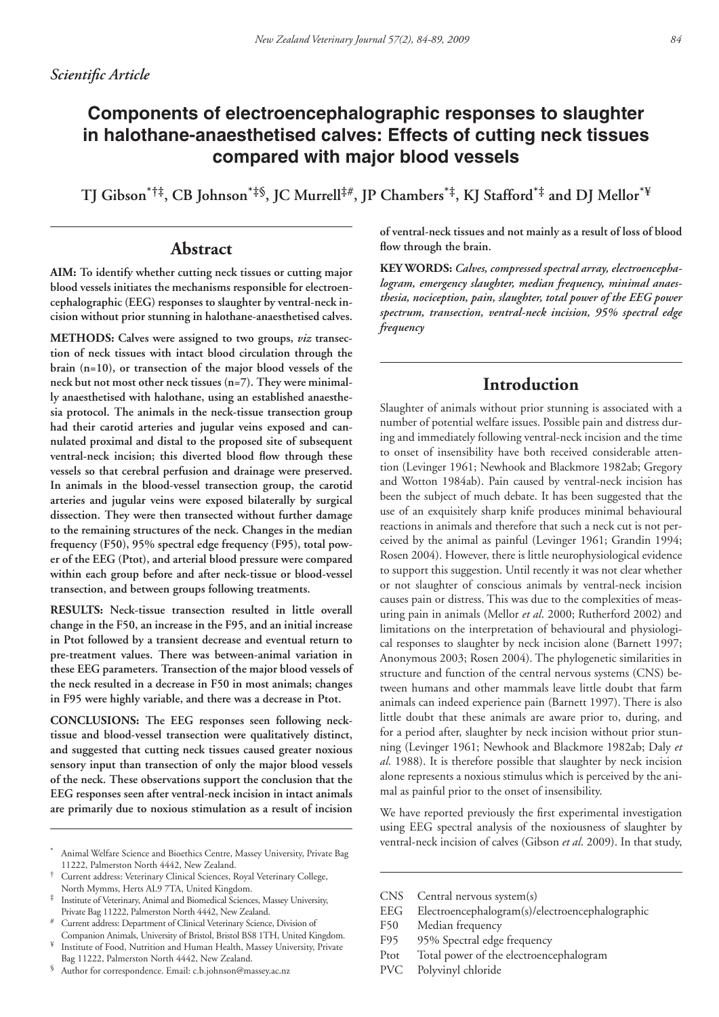# **Components of electroencephalographic responses to slaughter in halothane-anaesthetised calves: Effects of cutting neck tissues compared with major blood vessels**

**TJ Gibson\*†‡, CB Johnson\*‡§, JC Murrell‡#, JP Chambers\*‡, KJ Stafford\*‡ and DJ Mellor\*¥**

### **Abstract**

**AIM: To identify whether cutting neck tissues or cutting major blood vessels initiates the mechanisms responsible for electroencephalographic (EEG) responses to slaughter by ventral-neck incision without prior stunning in halothane-anaesthetised calves.**

**METHODS: Calves were assigned to two groups,** *viz* **transection of neck tissues with intact blood circulation through the brain (n=10), or transection of the major blood vessels of the neck but not most other neck tissues (n=7). They were minimally anaesthetised with halothane, using an established anaesthesia protocol. The animals in the neck-tissue transection group had their carotid arteries and jugular veins exposed and cannulated proximal and distal to the proposed site of subsequent**  ventral-neck incision; this diverted blood flow through these **vessels so that cerebral perfusion and drainage were preserved. In animals in the blood-vessel transection group, the carotid arteries and jugular veins were exposed bilaterally by surgical dissection. They were then transected without further damage to the remaining structures of the neck. Changes in the median frequency (F50), 95% spectral edge frequency (F95), total power of the EEG (Ptot), and arterial blood pressure were compared within each group before and after neck-tissue or blood-vessel transection, and between groups following treatments.**

**RESULTS: Neck-tissue transection resulted in little overall change in the F50, an increase in the F95, and an initial increase in Ptot followed by a transient decrease and eventual return to pre-treatment values. There was between-animal variation in these EEG parameters. Transection of the major blood vessels of the neck resulted in a decrease in F50 in most animals; changes in F95 were highly variable, and there was a decrease in Ptot.**

**CONCLUSIONS: The EEG responses seen following necktissue and blood-vessel transection were qualitatively distinct, and suggested that cutting neck tissues caused greater noxious sensory input than transection of only the major blood vessels of the neck. These observations support the conclusion that the EEG responses seen after ventral-neck incision in intact animals are primarily due to noxious stimulation as a result of incision** 

- ‡ Institute of Veterinary, Animal and Biomedical Sciences, Massey University, Private Bag 11222, Palmerston North 4442, New Zealand.
- # Current address: Department of Clinical Veterinary Science, Division of
- Companion Animals, University of Bristol, Bristol BS8 1TH, United Kingdom. ¥ Institute of Food, Nutrition and Human Health, Massey University, Private
- Bag 11222, Palmerston North 4442, New Zealand.
- Author for correspondence. Email: c.b.johnson@massey.ac.nz

**of ventral-neck tissues and not mainly as a result of loss of blood**  flow through the brain.

**KEY WORDS:** *Calves, compressed spectral array, electroencephalogram, emergency slaughter, median frequency, minimal anaesthesia, nociception, pain, slaughter, total power of the EEG power spectrum, transection, ventral-neck incision, 95% spectral edge frequency*

## **Introduction**

Slaughter of animals without prior stunning is associated with a number of potential welfare issues. Possible pain and distress during and immediately following ventral-neck incision and the time to onset of insensibility have both received considerable attention (Levinger 1961; Newhook and Blackmore 1982ab; Gregory and Wotton 1984ab). Pain caused by ventral-neck incision has been the subject of much debate. It has been suggested that the use of an exquisitely sharp knife produces minimal behavioural reactions in animals and therefore that such a neck cut is not perceived by the animal as painful (Levinger 1961; Grandin 1994; Rosen 2004). However, there is little neurophysiological evidence to support this suggestion. Until recently it was not clear whether or not slaughter of conscious animals by ventral-neck incision causes pain or distress. This was due to the complexities of measuring pain in animals (Mellor *et al*. 2000; Rutherford 2002) and limitations on the interpretation of behavioural and physiological responses to slaughter by neck incision alone (Barnett 1997; Anonymous 2003; Rosen 2004). The phylogenetic similarities in structure and function of the central nervous systems (CNS) between humans and other mammals leave little doubt that farm animals can indeed experience pain (Barnett 1997). There is also little doubt that these animals are aware prior to, during, and for a period after, slaughter by neck incision without prior stunning (Levinger 1961; Newhook and Blackmore 1982ab; Daly *et al*. 1988). It is therefore possible that slaughter by neck incision alone represents a noxious stimulus which is perceived by the animal as painful prior to the onset of insensibility.

We have reported previously the first experimental investigation using EEG spectral analysis of the noxiousness of slaughter by ventral-neck incision of calves (Gibson *et al*. 2009). In that study, \*

- F95 95% Spectral edge frequency
- Ptot Total power of the electroencephalogram
- PVC Polyvinyl chloride

Animal Welfare Science and Bioethics Centre, Massey University, Private Bag 11222, Palmerston North 4442, New Zealand.

<sup>†</sup> Current address: Veterinary Clinical Sciences, Royal Veterinary College, North Mymms, Herts AL9 7TA, United Kingdom.

CNS Central nervous system(s)

EEG Electroencephalogram(s)/electroencephalographic

F50 Median frequency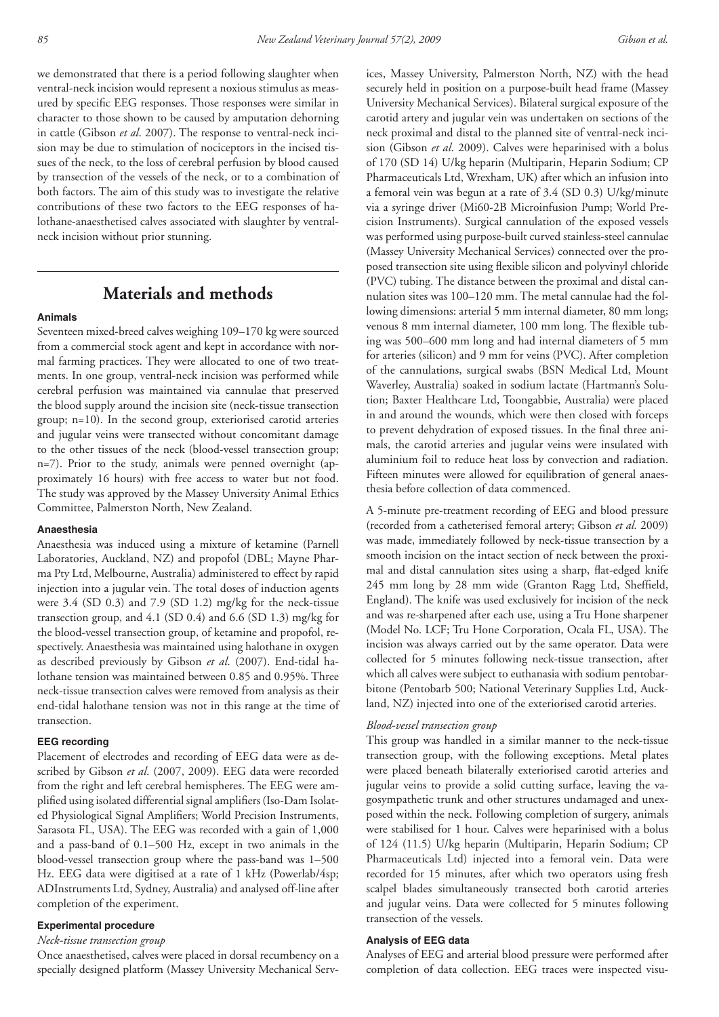we demonstrated that there is a period following slaughter when ventral-neck incision would represent a noxious stimulus as measured by specific EEG responses. Those responses were similar in character to those shown to be caused by amputation dehorning in cattle (Gibson *et al*. 2007). The response to ventral-neck incision may be due to stimulation of nociceptors in the incised tissues of the neck, to the loss of cerebral perfusion by blood caused by transection of the vessels of the neck, or to a combination of both factors. The aim of this study was to investigate the relative contributions of these two factors to the EEG responses of halothane-anaesthetised calves associated with slaughter by ventralneck incision without prior stunning.

### **Materials and methods**

#### **Animals**

Seventeen mixed-breed calves weighing 109–170 kg were sourced from a commercial stock agent and kept in accordance with normal farming practices. They were allocated to one of two treatments. In one group, ventral-neck incision was performed while cerebral perfusion was maintained via cannulae that preserved the blood supply around the incision site (neck-tissue transection group; n=10). In the second group, exteriorised carotid arteries and jugular veins were transected without concomitant damage to the other tissues of the neck (blood-vessel transection group; n=7). Prior to the study, animals were penned overnight (approximately 16 hours) with free access to water but not food. The study was approved by the Massey University Animal Ethics Committee, Palmerston North, New Zealand.

#### **Anaesthesia**

Anaesthesia was induced using a mixture of ketamine (Parnell Laboratories, Auckland, NZ) and propofol (DBL; Mayne Pharma Pty Ltd, Melbourne, Australia) administered to effect by rapid injection into a jugular vein. The total doses of induction agents were 3.4 (SD 0.3) and 7.9 (SD 1.2) mg/kg for the neck-tissue transection group, and 4.1 (SD 0.4) and 6.6 (SD 1.3) mg/kg for the blood-vessel transection group, of ketamine and propofol, respectively. Anaesthesia was maintained using halothane in oxygen as described previously by Gibson *et al*. (2007). End-tidal halothane tension was maintained between 0.85 and 0.95%. Three neck-tissue transection calves were removed from analysis as their end-tidal halothane tension was not in this range at the time of transection.

#### **EEG recording**

Placement of electrodes and recording of EEG data were as described by Gibson *et al*. (2007, 2009). EEG data were recorded from the right and left cerebral hemispheres. The EEG were amplified using isolated differential signal amplifiers (Iso-Dam Isolated Physiological Signal Amplifiers; World Precision Instruments, Sarasota FL, USA). The EEG was recorded with a gain of 1,000 and a pass-band of 0.1–500 Hz, except in two animals in the blood-vessel transection group where the pass-band was 1–500 Hz. EEG data were digitised at a rate of 1 kHz (Powerlab/4sp; ADInstruments Ltd, Sydney, Australia) and analysed off-line after completion of the experiment.

#### **Experimental procedure**

#### *Neck-tissue transection group*

Once anaesthetised, calves were placed in dorsal recumbency on a specially designed platform (Massey University Mechanical Services, Massey University, Palmerston North, NZ) with the head securely held in position on a purpose-built head frame (Massey University Mechanical Services). Bilateral surgical exposure of the carotid artery and jugular vein was undertaken on sections of the neck proximal and distal to the planned site of ventral-neck incision (Gibson *et al*. 2009). Calves were heparinised with a bolus of 170 (SD 14) U/kg heparin (Multiparin, Heparin Sodium; CP Pharmaceuticals Ltd, Wrexham, UK) after which an infusion into a femoral vein was begun at a rate of 3.4 (SD 0.3) U/kg/minute via a syringe driver (Mi60-2B Microinfusion Pump; World Precision Instruments). Surgical cannulation of the exposed vessels was performed using purpose-built curved stainless-steel cannulae (Massey University Mechanical Services) connected over the proposed transection site using flexible silicon and polyvinyl chloride (PVC) tubing. The distance between the proximal and distal cannulation sites was 100–120 mm. The metal cannulae had the following dimensions: arterial 5 mm internal diameter, 80 mm long; venous 8 mm internal diameter, 100 mm long. The flexible tubing was 500–600 mm long and had internal diameters of 5 mm for arteries (silicon) and 9 mm for veins (PVC). After completion of the cannulations, surgical swabs (BSN Medical Ltd, Mount Waverley, Australia) soaked in sodium lactate (Hartmann's Solution; Baxter Healthcare Ltd, Toongabbie, Australia) were placed in and around the wounds, which were then closed with forceps to prevent dehydration of exposed tissues. In the final three animals, the carotid arteries and jugular veins were insulated with aluminium foil to reduce heat loss by convection and radiation. Fifteen minutes were allowed for equilibration of general anaesthesia before collection of data commenced.

A 5-minute pre-treatment recording of EEG and blood pressure (recorded from a catheterised femoral artery; Gibson *et al.* 2009) was made, immediately followed by neck-tissue transection by a smooth incision on the intact section of neck between the proximal and distal cannulation sites using a sharp, flat-edged knife 245 mm long by 28 mm wide (Granton Ragg Ltd, Sheffield, England). The knife was used exclusively for incision of the neck and was re-sharpened after each use, using a Tru Hone sharpener (Model No. LCF; Tru Hone Corporation, Ocala FL, USA). The incision was always carried out by the same operator. Data were collected for 5 minutes following neck-tissue transection, after which all calves were subject to euthanasia with sodium pentobarbitone (Pentobarb 500; National Veterinary Supplies Ltd, Auckland, NZ) injected into one of the exteriorised carotid arteries.

#### *Blood-vessel transection group*

This group was handled in a similar manner to the neck-tissue transection group, with the following exceptions. Metal plates were placed beneath bilaterally exteriorised carotid arteries and jugular veins to provide a solid cutting surface, leaving the vagosympathetic trunk and other structures undamaged and unexposed within the neck. Following completion of surgery, animals were stabilised for 1 hour. Calves were heparinised with a bolus of 124 (11.5) U/kg heparin (Multiparin, Heparin Sodium; CP Pharmaceuticals Ltd) injected into a femoral vein. Data were recorded for 15 minutes, after which two operators using fresh scalpel blades simultaneously transected both carotid arteries and jugular veins. Data were collected for 5 minutes following transection of the vessels.

#### **Analysis of EEG data**

Analyses of EEG and arterial blood pressure were performed after completion of data collection. EEG traces were inspected visu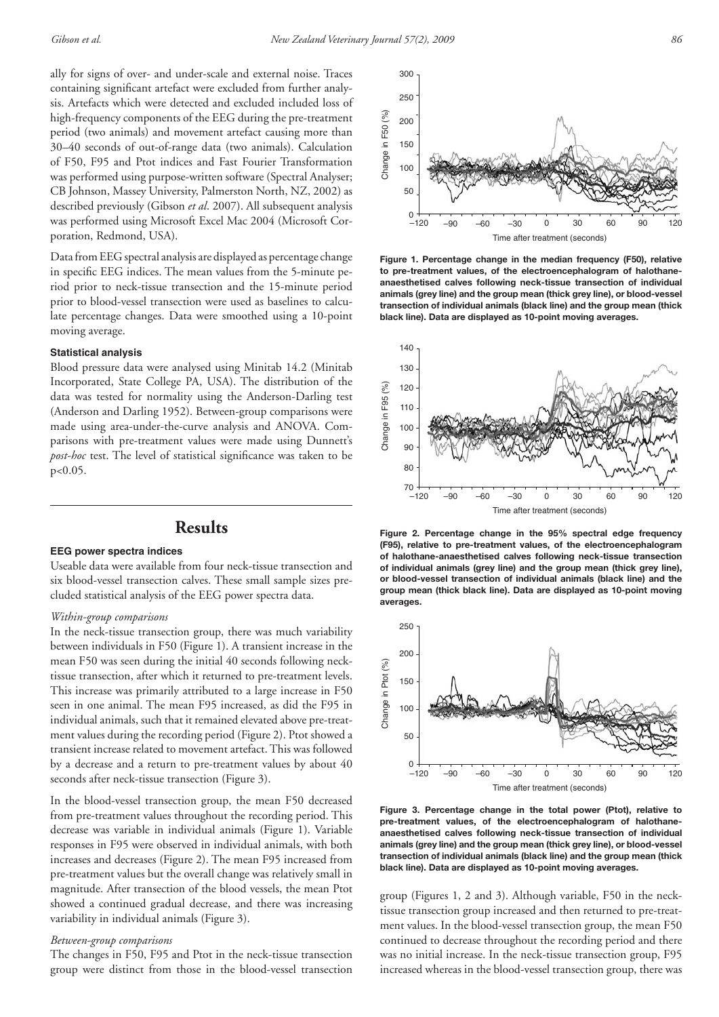ally for signs of over- and under-scale and external noise. Traces containing significant artefact were excluded from further analysis. Artefacts which were detected and excluded included loss of high-frequency components of the EEG during the pre-treatment period (two animals) and movement artefact causing more than 30–40 seconds of out-of-range data (two animals). Calculation of F50, F95 and Ptot indices and Fast Fourier Transformation was performed using purpose-written software (Spectral Analyser; CB Johnson, Massey University, Palmerston North, NZ, 2002) as described previously (Gibson *et al*. 2007). All subsequent analysis was performed using Microsoft Excel Mac 2004 (Microsoft Corporation, Redmond, USA).

Data from EEG spectral analysis are displayed as percentage change in specific EEG indices. The mean values from the 5-minute period prior to neck-tissue transection and the 15-minute period prior to blood-vessel transection were used as baselines to calculate percentage changes. Data were smoothed using a 10-point moving average.

#### **Statistical analysis**

Blood pressure data were analysed using Minitab 14.2 (Minitab Incorporated, State College PA, USA). The distribution of the data was tested for normality using the Anderson-Darling test (Anderson and Darling 1952). Between-group comparisons were made using area-under-the-curve analysis and ANOVA. Comparisons with pre-treatment values were made using Dunnett's post-hoc test. The level of statistical significance was taken to be p<0.05.

## **Results**

#### **EEG power spectra indices**

Useable data were available from four neck-tissue transection and six blood-vessel transection calves. These small sample sizes precluded statistical analysis of the EEG power spectra data.

#### *Within-group comparisons*

In the neck-tissue transection group, there was much variability between individuals in F50 (Figure 1). A transient increase in the mean F50 was seen during the initial 40 seconds following necktissue transection, after which it returned to pre-treatment levels. This increase was primarily attributed to a large increase in F50 seen in one animal. The mean F95 increased, as did the F95 in individual animals, such that it remained elevated above pre-treatment values during the recording period (Figure 2). Ptot showed a transient increase related to movement artefact. This was followed by a decrease and a return to pre-treatment values by about 40 seconds after neck-tissue transection (Figure 3).

In the blood-vessel transection group, the mean F50 decreased from pre-treatment values throughout the recording period. This decrease was variable in individual animals (Figure 1). Variable responses in F95 were observed in individual animals, with both increases and decreases (Figure 2). The mean F95 increased from pre-treatment values but the overall change was relatively small in magnitude. After transection of the blood vessels, the mean Ptot showed a continued gradual decrease, and there was increasing variability in individual animals (Figure 3).

#### *Between-group comparisons*

The changes in F50, F95 and Ptot in the neck-tissue transection group were distinct from those in the blood-vessel transection



**Figure 1. Percentage change in the median frequency (F50), relative to pre-treatment values, of the electroencephalogram of halothaneanaesthetised calves following neck-tissue transection of individual animals (grey line) and the group mean (thick grey line), or blood-vessel transection of individual animals (black line) and the group mean (thick black line). Data are displayed as 10-point moving averages.**



**Figure 2. Percentage change in the 95% spectral edge frequency (F95), relative to pre-treatment values, of the electroencephalogram of halothane-anaesthetised calves following neck-tissue transection of individual animals (grey line) and the group mean (thick grey line), or blood-vessel transection of individual animals (black line) and the group mean (thick black line). Data are displayed as 10-point moving**  averages.



**Figure 3. Percentage change in the total power (Ptot), relative to pre-treatment values, of the electroencephalogram of halothaneanaesthetised calves following neck-tissue transection of individual animals (grey line) and the group mean (thick grey line), or blood-vessel transection of individual animals (black line) and the group mean (thick black line). Data are displayed as 10-point moving averages.**

group (Figures 1, 2 and 3). Although variable, F50 in the necktissue transection group increased and then returned to pre-treatment values. In the blood-vessel transection group, the mean F50 continued to decrease throughout the recording period and there was no initial increase. In the neck-tissue transection group, F95 increased whereas in the blood-vessel transection group, there was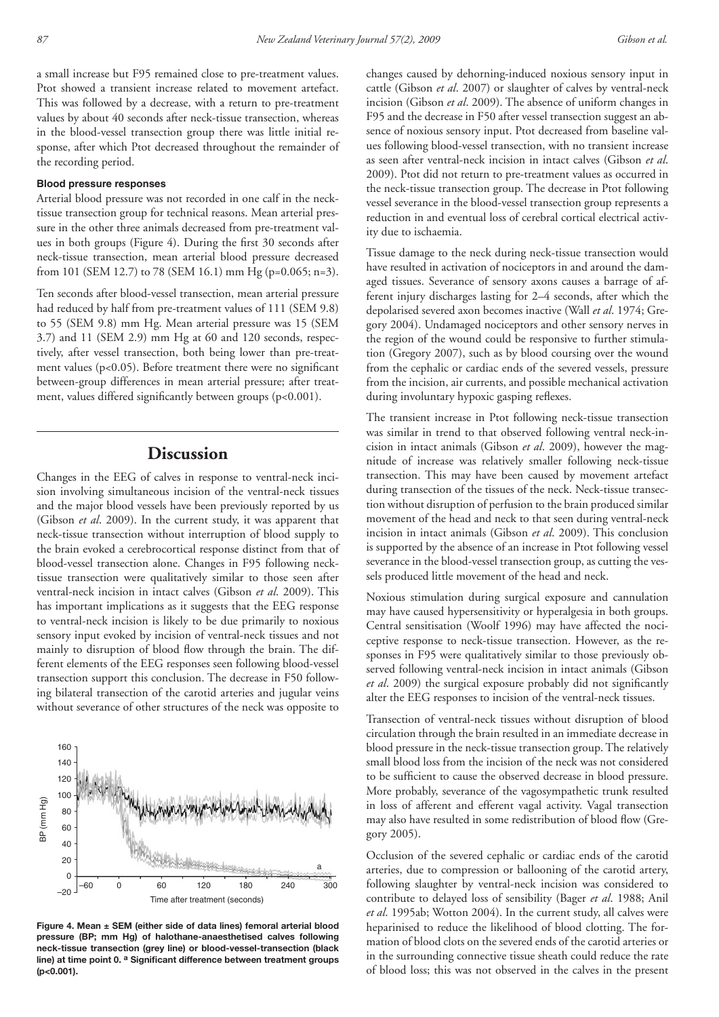a small increase but F95 remained close to pre-treatment values. Ptot showed a transient increase related to movement artefact. This was followed by a decrease, with a return to pre-treatment values by about 40 seconds after neck-tissue transection, whereas in the blood-vessel transection group there was little initial response, after which Ptot decreased throughout the remainder of the recording period.

#### **Blood pressure responses**

Arterial blood pressure was not recorded in one calf in the necktissue transection group for technical reasons. Mean arterial pressure in the other three animals decreased from pre-treatment values in both groups (Figure 4). During the first 30 seconds after neck-tissue transection, mean arterial blood pressure decreased from 101 (SEM 12.7) to 78 (SEM 16.1) mm Hg (p=0.065; n=3).

Ten seconds after blood-vessel transection, mean arterial pressure had reduced by half from pre-treatment values of 111 (SEM 9.8) to 55 (SEM 9.8) mm Hg. Mean arterial pressure was 15 (SEM 3.7) and 11 (SEM 2.9) mm Hg at 60 and 120 seconds, respectively, after vessel transection, both being lower than pre-treatment values ( $p<0.05$ ). Before treatment there were no significant between-group differences in mean arterial pressure; after treatment, values differed significantly between groups (p<0.001).

## **Discussion**

Changes in the EEG of calves in response to ventral-neck incision involving simultaneous incision of the ventral-neck tissues and the major blood vessels have been previously reported by us (Gibson *et al*. 2009). In the current study, it was apparent that neck-tissue transection without interruption of blood supply to the brain evoked a cerebrocortical response distinct from that of blood-vessel transection alone. Changes in F95 following necktissue transection were qualitatively similar to those seen after ventral-neck incision in intact calves (Gibson *et al*. 2009). This has important implications as it suggests that the EEG response to ventral-neck incision is likely to be due primarily to noxious sensory input evoked by incision of ventral-neck tissues and not mainly to disruption of blood flow through the brain. The different elements of the EEG responses seen following blood-vessel transection support this conclusion. The decrease in F50 following bilateral transection of the carotid arteries and jugular veins without severance of other structures of the neck was opposite to

 $\begin{bmatrix}\n\frac{1}{2} & 80 \\
\frac{1}{2} & 80 \\
\frac{1}{2} & 40\n\end{bmatrix}$ <br>  $\begin{bmatrix}\n18 & 60 \\
40 & 20\n\end{bmatrix}$ <br>  $\begin{bmatrix}\n18 \\
-20\n\end{bmatrix}$ <br>
Figure 4. Invessure<br>  $\begin{bmatrix}\n\frac{1}{2} & 4 & \text{time}\n\end{bmatrix}$ <br>  $\begin{bmatrix}\n\frac{1}{2} & 6 & \text{time}\n\end{bmatrix}$ <br>  $\begin{bmatrix}\n\frac{1}{2} & 6 & \text{time}\$ 160 140 120 100 80 60  $40$ 20  $\Omega$ –20 –60 0 180 120 Time after treatment (seconds) 60 300 240 a

**Figure 4. Mean ± SEM (either side of data lines) femoral arterial blood pressure (BP; mm Hg) of halothane-anaesthetised calves following neck-tissue transection (grey line) or blood-vessel-transection (black**  line) at time point 0. <sup>a</sup> Significant difference between treatment groups

changes caused by dehorning-induced noxious sensory input in cattle (Gibson *et al*. 2007) or slaughter of calves by ventral-neck incision (Gibson *et al*. 2009). The absence of uniform changes in F95 and the decrease in F50 after vessel transection suggest an absence of noxious sensory input. Ptot decreased from baseline values following blood-vessel transection, with no transient increase as seen after ventral-neck incision in intact calves (Gibson *et al*. 2009). Ptot did not return to pre-treatment values as occurred in the neck-tissue transection group. The decrease in Ptot following vessel severance in the blood-vessel transection group represents a reduction in and eventual loss of cerebral cortical electrical activity due to ischaemia.

Tissue damage to the neck during neck-tissue transection would have resulted in activation of nociceptors in and around the damaged tissues. Severance of sensory axons causes a barrage of afferent injury discharges lasting for 2–4 seconds, after which the depolarised severed axon becomes inactive (Wall *et al*. 1974; Gregory 2004). Undamaged nociceptors and other sensory nerves in the region of the wound could be responsive to further stimulation (Gregory 2007), such as by blood coursing over the wound from the cephalic or cardiac ends of the severed vessels, pressure from the incision, air currents, and possible mechanical activation during involuntary hypoxic gasping reflexes.

The transient increase in Ptot following neck-tissue transection was similar in trend to that observed following ventral neck-incision in intact animals (Gibson *et al*. 2009), however the magnitude of increase was relatively smaller following neck-tissue transection. This may have been caused by movement artefact during transection of the tissues of the neck. Neck-tissue transection without disruption of perfusion to the brain produced similar movement of the head and neck to that seen during ventral-neck incision in intact animals (Gibson *et al*. 2009). This conclusion is supported by the absence of an increase in Ptot following vessel severance in the blood-vessel transection group, as cutting the vessels produced little movement of the head and neck.

Noxious stimulation during surgical exposure and cannulation may have caused hypersensitivity or hyperalgesia in both groups. Central sensitisation (Woolf 1996) may have affected the nociceptive response to neck-tissue transection. However, as the responses in F95 were qualitatively similar to those previously observed following ventral-neck incision in intact animals (Gibson *et al.* 2009) the surgical exposure probably did not significantly alter the EEG responses to incision of the ventral-neck tissues.

Transection of ventral-neck tissues without disruption of blood circulation through the brain resulted in an immediate decrease in blood pressure in the neck-tissue transection group. The relatively small blood loss from the incision of the neck was not considered to be sufficient to cause the observed decrease in blood pressure. More probably, severance of the vagosympathetic trunk resulted in loss of afferent and efferent vagal activity. Vagal transection may also have resulted in some redistribution of blood flow (Gregory 2005).

Occlusion of the severed cephalic or cardiac ends of the carotid arteries, due to compression or ballooning of the carotid artery, following slaughter by ventral-neck incision was considered to contribute to delayed loss of sensibility (Bager *et al*. 1988; Anil *et al*. 1995ab; Wotton 2004). In the current study, all calves were heparinised to reduce the likelihood of blood clotting. The formation of blood clots on the severed ends of the carotid arteries or in the surrounding connective tissue sheath could reduce the rate of blood loss; this was not observed in the calves in the present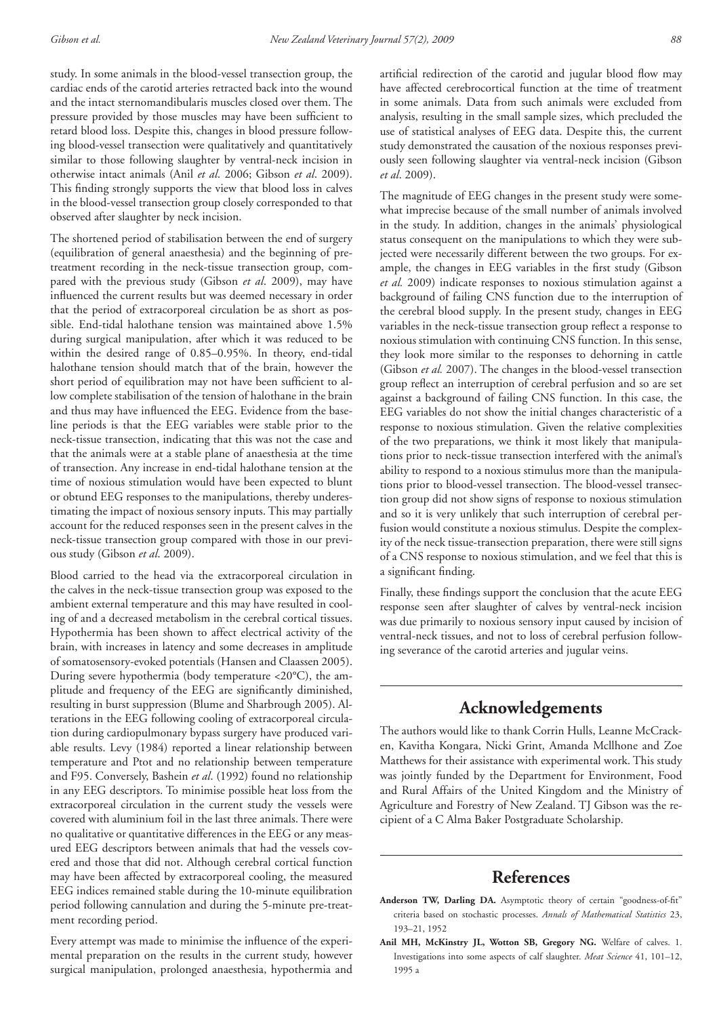study. In some animals in the blood-vessel transection group, the cardiac ends of the carotid arteries retracted back into the wound and the intact sternomandibularis muscles closed over them. The pressure provided by those muscles may have been sufficient to retard blood loss. Despite this, changes in blood pressure following blood-vessel transection were qualitatively and quantitatively similar to those following slaughter by ventral-neck incision in otherwise intact animals (Anil *et al*. 2006; Gibson *et al*. 2009). This finding strongly supports the view that blood loss in calves in the blood-vessel transection group closely corresponded to that observed after slaughter by neck incision.

The shortened period of stabilisation between the end of surgery (equilibration of general anaesthesia) and the beginning of pretreatment recording in the neck-tissue transection group, compared with the previous study (Gibson *et al*. 2009), may have influenced the current results but was deemed necessary in order that the period of extracorporeal circulation be as short as possible. End-tidal halothane tension was maintained above 1.5% during surgical manipulation, after which it was reduced to be within the desired range of 0.85–0.95%. In theory, end-tidal halothane tension should match that of the brain, however the short period of equilibration may not have been sufficient to allow complete stabilisation of the tension of halothane in the brain and thus may have influenced the EEG. Evidence from the baseline periods is that the EEG variables were stable prior to the neck-tissue transection, indicating that this was not the case and that the animals were at a stable plane of anaesthesia at the time of transection. Any increase in end-tidal halothane tension at the time of noxious stimulation would have been expected to blunt or obtund EEG responses to the manipulations, thereby underestimating the impact of noxious sensory inputs. This may partially account for the reduced responses seen in the present calves in the neck-tissue transection group compared with those in our previous study (Gibson *et al*. 2009).

Blood carried to the head via the extracorporeal circulation in the calves in the neck-tissue transection group was exposed to the ambient external temperature and this may have resulted in cooling of and a decreased metabolism in the cerebral cortical tissues. Hypothermia has been shown to affect electrical activity of the brain, with increases in latency and some decreases in amplitude of somatosensory-evoked potentials (Hansen and Claassen 2005). During severe hypothermia (body temperature <20°C), the amplitude and frequency of the EEG are significantly diminished, resulting in burst suppression (Blume and Sharbrough 2005). Alterations in the EEG following cooling of extracorporeal circulation during cardiopulmonary bypass surgery have produced variable results. Levy (1984) reported a linear relationship between temperature and Ptot and no relationship between temperature and F95. Conversely, Bashein *et al*. (1992) found no relationship in any EEG descriptors. To minimise possible heat loss from the extracorporeal circulation in the current study the vessels were covered with aluminium foil in the last three animals. There were no qualitative or quantitative differences in the EEG or any measured EEG descriptors between animals that had the vessels covered and those that did not. Although cerebral cortical function may have been affected by extracorporeal cooling, the measured EEG indices remained stable during the 10-minute equilibration period following cannulation and during the 5-minute pre-treatment recording period.

Every attempt was made to minimise the influence of the experimental preparation on the results in the current study, however surgical manipulation, prolonged anaesthesia, hypothermia and artificial redirection of the carotid and jugular blood flow may have affected cerebrocortical function at the time of treatment in some animals. Data from such animals were excluded from analysis, resulting in the small sample sizes, which precluded the use of statistical analyses of EEG data. Despite this, the current study demonstrated the causation of the noxious responses previously seen following slaughter via ventral-neck incision (Gibson *et al*. 2009).

The magnitude of EEG changes in the present study were somewhat imprecise because of the small number of animals involved in the study. In addition, changes in the animals' physiological status consequent on the manipulations to which they were subjected were necessarily different between the two groups. For example, the changes in EEG variables in the first study (Gibson *et al.* 2009) indicate responses to noxious stimulation against a background of failing CNS function due to the interruption of the cerebral blood supply. In the present study, changes in EEG variables in the neck-tissue transection group reflect a response to noxious stimulation with continuing CNS function. In this sense, they look more similar to the responses to dehorning in cattle (Gibson *et al.* 2007). The changes in the blood-vessel transection group reflect an interruption of cerebral perfusion and so are set against a background of failing CNS function. In this case, the EEG variables do not show the initial changes characteristic of a response to noxious stimulation. Given the relative complexities of the two preparations, we think it most likely that manipulations prior to neck-tissue transection interfered with the animal's ability to respond to a noxious stimulus more than the manipulations prior to blood-vessel transection. The blood-vessel transection group did not show signs of response to noxious stimulation and so it is very unlikely that such interruption of cerebral perfusion would constitute a noxious stimulus. Despite the complexity of the neck tissue-transection preparation, there were still signs of a CNS response to noxious stimulation, and we feel that this is a significant finding.

Finally, these findings support the conclusion that the acute EEG response seen after slaughter of calves by ventral-neck incision was due primarily to noxious sensory input caused by incision of ventral-neck tissues, and not to loss of cerebral perfusion following severance of the carotid arteries and jugular veins.

## **Acknowledgements**

The authors would like to thank Corrin Hulls, Leanne McCracken, Kavitha Kongara, Nicki Grint, Amanda Mcllhone and Zoe Matthews for their assistance with experimental work. This study was jointly funded by the Department for Environment, Food and Rural Affairs of the United Kingdom and the Ministry of Agriculture and Forestry of New Zealand. TJ Gibson was the recipient of a C Alma Baker Postgraduate Scholarship.

## **References**

- Anderson TW, Darling DA. Asymptotic theory of certain "goodness-of-fit" criteria based on stochastic processes. *Annals of Mathematical Statistics* 23, 193–21, 1952
- Anil MH, McKinstry JL, Wotton SB, Gregory NG. Welfare of calves. 1. Investigations into some aspects of calf slaughter. *Meat Science* 41, 101–12, 1995 a